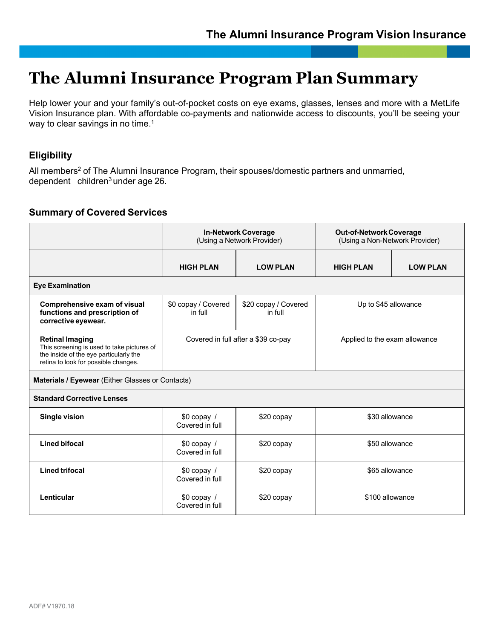# **The Alumni Insurance Program Plan Summary**

Help lower your and your family's out-of-pocket costs on eye exams, glasses, lenses and more with a MetLife Vision Insurance plan. With affordable co-payments and nationwide access to discounts, you'll be seeing your way to clear savings in no time.<sup>1</sup>

## **Eligibility**

All members<sup>2</sup> of The Alumni Insurance Program, their spouses/domestic partners and unmarried, dependent children<sup>3</sup> under age 26.

## **Summary of Covered Services**

|                                                                                                                                                        | <b>In-Network Coverage</b><br>(Using a Network Provider) |                                 | <b>Out-of-Network Coverage</b><br>(Using a Non-Network Provider) |                 |  |
|--------------------------------------------------------------------------------------------------------------------------------------------------------|----------------------------------------------------------|---------------------------------|------------------------------------------------------------------|-----------------|--|
|                                                                                                                                                        | <b>HIGH PLAN</b>                                         | <b>LOW PLAN</b>                 | <b>HIGH PLAN</b>                                                 | <b>LOW PLAN</b> |  |
| <b>Eye Examination</b>                                                                                                                                 |                                                          |                                 |                                                                  |                 |  |
| Comprehensive exam of visual<br>functions and prescription of<br>corrective eyewear.                                                                   | \$0 copay / Covered<br>in full                           | \$20 copay / Covered<br>in full | Up to \$45 allowance                                             |                 |  |
| <b>Retinal Imaging</b><br>This screening is used to take pictures of<br>the inside of the eye particularly the<br>retina to look for possible changes. | Covered in full after a \$39 co-pay                      |                                 | Applied to the exam allowance                                    |                 |  |
| Materials / Eyewear (Either Glasses or Contacts)                                                                                                       |                                                          |                                 |                                                                  |                 |  |
| <b>Standard Corrective Lenses</b>                                                                                                                      |                                                          |                                 |                                                                  |                 |  |
| <b>Single vision</b>                                                                                                                                   | \$0 copay /<br>Covered in full                           | \$20 copay                      | \$30 allowance                                                   |                 |  |
| <b>Lined bifocal</b>                                                                                                                                   | $$0$ copay /<br>Covered in full                          | \$20 copay                      | \$50 allowance                                                   |                 |  |
| <b>Lined trifocal</b>                                                                                                                                  | $$0$ copay /<br>Covered in full                          | \$20 copay                      | \$65 allowance                                                   |                 |  |
| Lenticular                                                                                                                                             | $$0$ copay /<br>Covered in full                          | \$20 copay                      | \$100 allowance                                                  |                 |  |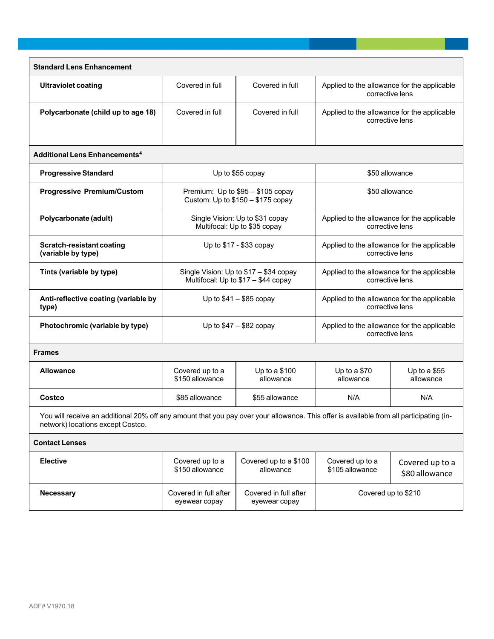| <b>Standard Lens Enhancement</b>                                                                                                                                             |                                                                               |                                        |                                                                |                                   |  |
|------------------------------------------------------------------------------------------------------------------------------------------------------------------------------|-------------------------------------------------------------------------------|----------------------------------------|----------------------------------------------------------------|-----------------------------------|--|
| <b>Ultraviolet coating</b>                                                                                                                                                   | Covered in full                                                               | Covered in full                        | Applied to the allowance for the applicable                    | corrective lens                   |  |
| Polycarbonate (child up to age 18)                                                                                                                                           | Covered in full                                                               | Covered in full                        | Applied to the allowance for the applicable<br>corrective lens |                                   |  |
| <b>Additional Lens Enhancements<sup>4</sup></b>                                                                                                                              |                                                                               |                                        |                                                                |                                   |  |
| <b>Progressive Standard</b>                                                                                                                                                  | Up to \$55 copay                                                              |                                        | \$50 allowance                                                 |                                   |  |
| <b>Progressive Premium/Custom</b>                                                                                                                                            | Premium: Up to \$95 - \$105 copay<br>Custom: Up to $$150 - $175$ copay        |                                        | \$50 allowance                                                 |                                   |  |
| Polycarbonate (adult)                                                                                                                                                        | Single Vision: Up to \$31 copay<br>Multifocal: Up to \$35 copay               |                                        | Applied to the allowance for the applicable<br>corrective lens |                                   |  |
| Scratch-resistant coating<br>(variable by type)                                                                                                                              | Up to \$17 - \$33 copay                                                       |                                        | Applied to the allowance for the applicable<br>corrective lens |                                   |  |
| Tints (variable by type)                                                                                                                                                     | Single Vision: Up to \$17 - \$34 copay<br>Multifocal: Up to \$17 - \$44 copay |                                        | Applied to the allowance for the applicable<br>corrective lens |                                   |  |
| Anti-reflective coating (variable by<br>type)                                                                                                                                | Up to $$41 - $85$ copay                                                       |                                        | Applied to the allowance for the applicable<br>corrective lens |                                   |  |
| Photochromic (variable by type)                                                                                                                                              | Up to $$47 - $82$ copay                                                       |                                        | Applied to the allowance for the applicable<br>corrective lens |                                   |  |
| <b>Frames</b>                                                                                                                                                                |                                                                               |                                        |                                                                |                                   |  |
| <b>Allowance</b>                                                                                                                                                             | Covered up to a<br>\$150 allowance                                            | Up to a \$100<br>allowance             | Up to a \$70<br>allowance                                      | Up to a $$55$<br>allowance        |  |
| Costco                                                                                                                                                                       | \$85 allowance                                                                | \$55 allowance                         | N/A                                                            | N/A                               |  |
| You will receive an additional 20% off any amount that you pay over your allowance. This offer is available from all participating (in-<br>network) locations except Costco. |                                                                               |                                        |                                                                |                                   |  |
| <b>Contact Lenses</b>                                                                                                                                                        |                                                                               |                                        |                                                                |                                   |  |
| <b>Elective</b>                                                                                                                                                              | Covered up to a<br>\$150 allowance                                            | Covered up to a \$100<br>allowance     | Covered up to a<br>\$105 allowance                             | Covered up to a<br>\$80 allowance |  |
| <b>Necessary</b>                                                                                                                                                             | Covered in full after<br>eyewear copay                                        | Covered in full after<br>eyewear copay | Covered up to \$210                                            |                                   |  |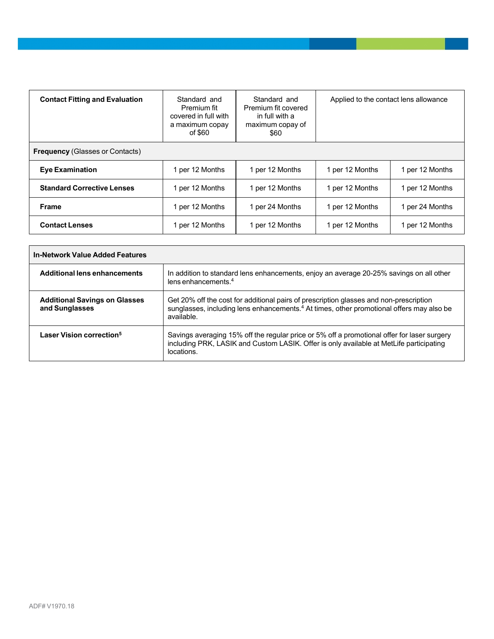| <b>Contact Fitting and Evaluation</b>  | Standard and<br>Premium fit<br>covered in full with<br>a maximum copay<br>of \$60 | Standard and<br>Premium fit covered<br>in full with a<br>maximum copay of<br>\$60 | Applied to the contact lens allowance |                 |
|----------------------------------------|-----------------------------------------------------------------------------------|-----------------------------------------------------------------------------------|---------------------------------------|-----------------|
| <b>Frequency (Glasses or Contacts)</b> |                                                                                   |                                                                                   |                                       |                 |
| <b>Eye Examination</b>                 | 1 per 12 Months                                                                   | 1 per 12 Months                                                                   | 1 per 12 Months                       | 1 per 12 Months |
| <b>Standard Corrective Lenses</b>      | 1 per 12 Months                                                                   | 1 per 12 Months                                                                   | 1 per 12 Months                       | 1 per 12 Months |
| <b>Frame</b>                           | 1 per 12 Months                                                                   | 1 per 24 Months                                                                   | 1 per 12 Months                       | 1 per 24 Months |
| <b>Contact Lenses</b>                  | 1 per 12 Months                                                                   | 1 per 12 Months                                                                   | 1 per 12 Months                       | 1 per 12 Months |

| In-Network Value Added Features                        |                                                                                                                                                                                                              |  |
|--------------------------------------------------------|--------------------------------------------------------------------------------------------------------------------------------------------------------------------------------------------------------------|--|
| <b>Additional lens enhancements</b>                    | In addition to standard lens enhancements, enjoy an average 20-25% savings on all other<br>lens enhancements. $4$                                                                                            |  |
| <b>Additional Savings on Glasses</b><br>and Sunglasses | Get 20% off the cost for additional pairs of prescription glasses and non-prescription<br>sunglasses, including lens enhancements. <sup>4</sup> At times, other promotional offers may also be<br>available. |  |
| Laser Vision correction <sup>5</sup>                   | Savings averaging 15% off the regular price or 5% off a promotional offer for laser surgery<br>including PRK, LASIK and Custom LASIK. Offer is only available at MetLife participating<br>locations.         |  |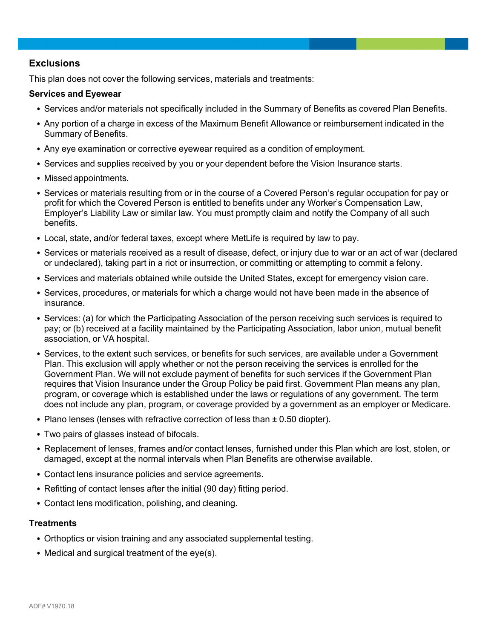## **Exclusions**

This plan does not cover the following services, materials and treatments:

### **Services and Eyewear**

- Services and/or materials not specifically included in the Summary of Benefits as covered Plan Benefits.
- Any portion of a charge in excess of the Maximum Benefit Allowance or reimbursement indicated in the Summary of Benefits.
- Any eye examination or corrective eyewear required as a condition of employment.
- Services and supplies received by you or your dependent before the Vision Insurance starts.
- Missed appointments.
- Services or materials resulting from or in the course of a Covered Person's regular occupation for pay or profit for which the Covered Person is entitled to benefits under any Worker's Compensation Law, Employer's Liability Law or similar law. You must promptly claim and notify the Company of all such benefits.
- Local, state, and/or federal taxes, except where MetLife is required by law to pay.
- Services or materials received as a result of disease, defect, or injury due to war or an act of war (declared or undeclared), taking part in a riot or insurrection, or committing or attempting to commit a felony.
- Services and materials obtained while outside the United States, except for emergency vision care.
- Services, procedures, or materials for which a charge would not have been made in the absence of insurance.
- Services: (a) for which the Participating Association of the person receiving such services is required to pay; or (b) received at a facility maintained by the Participating Association, labor union, mutual benefit association, or VA hospital.
- Services, to the extent such services, or benefits for such services, are available under a Government Plan. This exclusion will apply whether or not the person receiving the services is enrolled for the Government Plan. We will not exclude payment of benefits for such services if the Government Plan requires that Vision Insurance under the Group Policy be paid first. Government Plan means any plan, program, or coverage which is established under the laws or regulations of any government. The term does not include any plan, program, or coverage provided by a government as an employer or Medicare.
- Plano lenses (lenses with refractive correction of less than ± 0.50 diopter).
- Two pairs of glasses instead of bifocals.
- Replacement of lenses, frames and/or contact lenses, furnished under this Plan which are lost, stolen, or damaged, except at the normal intervals when Plan Benefits are otherwise available.
- Contact lens insurance policies and service agreements.
- Refitting of contact lenses after the initial (90 day) fitting period.
- Contact lens modification, polishing, and cleaning.

#### **Treatments**

- Orthoptics or vision training and any associated supplemental testing.
- Medical and surgical treatment of the eye(s).